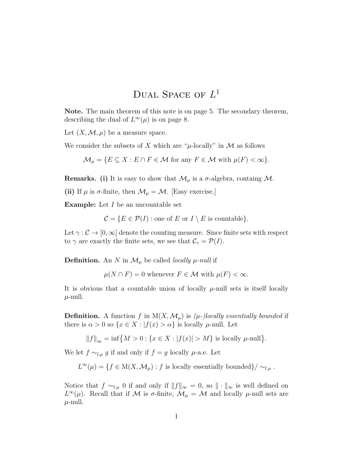## DUAL SPACE OF  $L^1$

Note. The main theorem of this note is on page 5. The secondary theorem, describing the dual of  $L^{\infty}(\mu)$  is on page 8.

Let  $(X, \mathcal{M}, \mu)$  be a measure space.

We consider the subsets of X which are " $\mu$ -locally" in M as follows

 $\mathcal{M}_{\mu} = \{ E \subseteq X : E \cap F \in \mathcal{M} \text{ for any } F \in \mathcal{M} \text{ with } \mu(F) < \infty \}.$ 

**Remarks.** (i) It is easy to show that  $\mathcal{M}_{\mu}$  is a  $\sigma$ -algebra, containg  $\mathcal{M}$ .

(ii) If  $\mu$  is  $\sigma$ -finite, then  $\mathcal{M}_{\mu} = \mathcal{M}$ . [Easy exercise.]

**Example:** Let I be an uncountable set

 $\mathcal{C} = \{E \in \mathcal{P}(I) : \text{one of } E \text{ or } I \setminus E \text{ is countable}\}.$ 

Let  $\gamma : \mathcal{C} \to [0,\infty]$  denote the counting measure. Since finite sets with respect to  $\gamma$  are exactly the finite sets, we see that  $\mathcal{C}_{\gamma} = \mathcal{P}(I)$ .

**Definition.** An N in  $\mathcal{M}_{\mu}$  be called *locally*  $\mu$ *-null* if

 $\mu(N \cap F) = 0$  whenever  $F \in \mathcal{M}$  with  $\mu(F) < \infty$ .

It is obvious that a countable union of locally  $\mu$ -null sets is itself locally  $\mu$ -null.

**Definition.** A function f in  $M(X, \mathcal{M}_{\mu})$  is  $(\mu$ -)locally essentially bounded if there is  $\alpha > 0$  so  $\{x \in X : |f(x) > \alpha\}$  is locally  $\mu$ -null. Let

$$
||f||_{\infty} = \inf \{ M > 0 : \{ x \in X : |f(x)| > M \} \text{ is locally } \mu\text{-null} \}.
$$

We let  $f \sim_{l,\mu} g$  if and only if  $f = g$  locally  $\mu$ -a.e. Let

 $L^{\infty}(\mu) = \{f \in M(X, \mathcal{M}_{\mu}): f \text{ is locally essentially bounded}\}/\sim_{l,\mu}$ .

Notice that  $f \sim_{l,\mu} 0$  if and only if  $||f||_{\infty} = 0$ , so  $|| \cdot ||_{\infty}$  is well defined on  $L^{\infty}(\mu)$ . Recall that if M is  $\sigma$ -finite,  $\mathcal{M}_{\mu} = \mathcal{M}$  and locally  $\mu$ -null sets are  $\mu$ -null.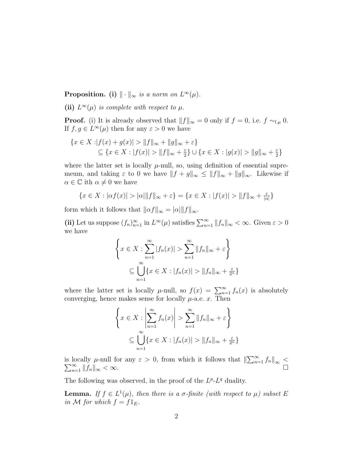**Proposition.** (i)  $\|\cdot\|_{\infty}$  is a norm on  $L^{\infty}(\mu)$ .

(ii)  $L^{\infty}(\mu)$  is complete with respect to  $\mu$ .

**Proof.** (i) It is already observed that  $||f||_{\infty} = 0$  only if  $f = 0$ , i.e.  $f \sim_{l,\mu} 0$ . If  $f, g \in L^{\infty}(\mu)$  then for any  $\varepsilon > 0$  we have

$$
\{x \in X : |f(x) + g(x)| > ||f||_{\infty} + ||g||_{\infty} + \varepsilon\}
$$
  

$$
\subseteq \{x \in X : |f(x)| > ||f||_{\infty} + \frac{\varepsilon}{2}\} \cup \{x \in X : |g(x)| > ||g||_{\infty} + \frac{\varepsilon}{2}\}
$$

where the latter set is locally  $\mu$ -null, so, using definition of essential supremeum, and taking  $\varepsilon$  to 0 we have  $||f + g||_{\infty} \le ||f||_{\infty} + ||g||_{\infty}$ . Likewise if  $\alpha \in \mathbb{C}$  ith  $\alpha \neq 0$  we have

$$
\{x \in X : |\alpha f(x)| > |\alpha| \|f\|_{\infty} + \varepsilon\} = \{x \in X : |f(x)| > \|f\|_{\infty} + \frac{\varepsilon}{|\alpha|}\}
$$

form which it follows that  $||\alpha f||_{\infty} = |\alpha| ||f||_{\infty}$ .

(ii) Let us suppose  $(f_n)_{n=1}^{\infty}$  in  $L^{\infty}(\mu)$  satisfies  $\sum_{n=1}^{\infty} ||f_n||_{\infty} < \infty$ . Given  $\varepsilon > 0$ we have

$$
\left\{ x \in X : \sum_{n=1}^{\infty} |f_n(x)| > \sum_{n=1}^{\infty} ||f_n||_{\infty} + \varepsilon \right\}
$$

$$
\subseteq \bigcup_{n=1}^{\infty} \left\{ x \in X : |f_n(x)| > ||f_n||_{\infty} + \frac{\varepsilon}{2^n} \right\}
$$

where the latter set is locally  $\mu$ -null, so  $f(x) = \sum_{n=1}^{\infty} f_n(x)$  is absolutely converging, hence makes sense for locally  $\mu$ -a.e. x. Then

$$
\left\{ x \in X : \left| \sum_{n=1}^{\infty} f_n(x) \right| > \sum_{n=1}^{\infty} ||f_n||_{\infty} + \varepsilon \right\}
$$

$$
\subseteq \bigcup_{n=1}^{\infty} \left\{ x \in X : |f_n(x)| > ||f_n||_{\infty} + \frac{\varepsilon}{2^n} \right\}
$$

is locally  $\mu$ -null for any  $\varepsilon > 0$ , from which it follows that  $\|\sum_{n=1}^{\infty} f_n\|_{\infty} < \sum_{n=1}^{\infty} \|f_n\|_{\infty} < \infty$ .  $\sum_{n=1}^{\infty} \|\tilde{f}_n\|_{\infty} < \infty.$ 

The following was observed, in the proof of the  $L^{p}$ - $L^{q}$  duality.

**Lemma.** If  $f \in L^1(\mu)$ , then there is a  $\sigma$ -finite (with respect to  $\mu$ ) subset E in M for which  $f = f1_E$ .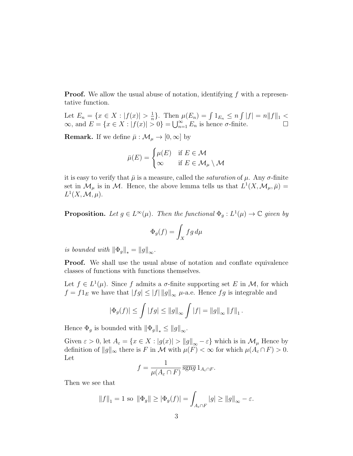**Proof.** We allow the usual abuse of notation, identifying  $f$  with a representative function.

Let  $E_n = \{x \in X : |f(x)| > \frac{1}{n}\}$  $\frac{1}{n}$ . Then  $\mu(E_n) = \int 1_{E_n} \leq n \int |f| = n \|f\|_1$  $\infty$ , and  $E = \{x \in X : |f(x)| > 0\} = \bigcup_{n=1}^{\infty} E_n$  is hence  $\sigma$ -finite.

**Remark.** If we define  $\bar{\mu} : \mathcal{M}_{\mu} \to [0, \infty]$  by

$$
\bar{\mu}(E) = \begin{cases} \mu(E) & \text{if } E \in \mathcal{M} \\ \infty & \text{if } E \in \mathcal{M}_{\mu} \setminus \mathcal{M} \end{cases}
$$

it is easy to verify that  $\bar{\mu}$  is a measure, called the *saturation* of  $\mu$ . Any  $\sigma$ -finite set in  $\mathcal{M}_{\mu}$  is in M. Hence, the above lemma tells us that  $L^1(X, \mathcal{M}_{\mu}, \bar{\mu}) =$  $L^1(X, \mathcal{M}, \mu).$ 

**Proposition.** Let  $g \in L^{\infty}(\mu)$ . Then the functional  $\Phi_g: L^1(\mu) \to \mathbb{C}$  given by

$$
\Phi_g(f) = \int_X fg \, d\mu
$$

is bounded with  $\|\Phi_g\|_* = \|g\|_{\infty}$ .

Proof. We shall use the usual abuse of notation and conflate equivalence classes of functions with functions themselves.

Let  $f \in L^1(\mu)$ . Since f admits a  $\sigma$ -finite supporting set E in M, for which  $f = f1_E$  we have that  $||fg|| \leq ||f|| \, ||g||_{\infty}$   $\mu$ -a.e. Hence  $fg$  is integrable and

$$
|\Phi_g(f)| \le \int |fg| \le ||g||_{\infty} \int |f| = ||g||_{\infty} ||f||_1.
$$

Hence  $\Phi_g$  is bounded with  $\|\Phi_g\|_* \le \|g\|_{\infty}$ .

Given  $\varepsilon > 0$ , let  $A_{\varepsilon} = \{x \in X : |g(x)| > ||g||_{\infty} - \varepsilon\}$  which is in  $\mathcal{M}_{\mu}$  Hence by definition of  $||g||_{\infty}$  there is F in M with  $\mu(F) < \infty$  for which  $\mu(A_{\varepsilon} \cap F) > 0$ . Let

$$
f = \frac{1}{\mu(A_{\varepsilon} \cap F)} \overline{\text{sgng}} \, 1_{A_{\varepsilon} \cap F}.
$$

Then we see that

$$
||f||_1 = 1 \text{ so } ||\Phi_g|| \ge |\Phi_g(f)| = \int_{A_{\varepsilon} \cap F} |g| \ge ||g||_{\infty} - \varepsilon.
$$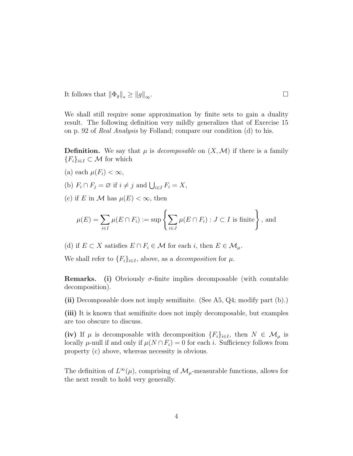It follows that  $\|\Phi_g\|_* \ge \|g\|_{\infty}$ .

We shall still require some approximation by finite sets to gain a duality result. The following definition very mildly generalizes that of Exercise 15 on p. 92 of Real Analysis by Folland; compare our condition (d) to his.

**Definition.** We say that  $\mu$  is *decomposable* on  $(X, \mathcal{M})$  if there is a family  ${F_i}_{i\in I} \subset \mathcal{M}$  for which

- (a) each  $\mu(F_i) < \infty$ ,
- (b)  $F_i \cap F_j = \varnothing$  if  $i \neq j$  and  $\bigcup_{i \in I} F_i = X$ ,
- (c) if E in M has  $\mu(E) < \infty$ , then

$$
\mu(E) = \sum_{i \in I} \mu(E \cap F_i) := \sup \left\{ \sum_{i \in J} \mu(E \cap F_i) : J \subset I \text{ is finite} \right\},\text{ and}
$$

(d) if  $E \subset X$  satisfies  $E \cap F_i \in \mathcal{M}$  for each *i*, then  $E \in \mathcal{M}_{\mu}$ .

We shall refer to  ${F_i}_{i\in I}$ , above, as a *decomposition* for  $\mu$ .

**Remarks.** (i) Obviously  $\sigma$ -finite implies decomposable (with countable decomposition).

(ii) Decomposable does not imply semifinite. (See A5, Q4; modify part (b).)

(iii) It is known that semifinite does not imply decomposable, but examples are too obscure to discuss.

(iv) If  $\mu$  is decomposable with decomposition  $\{F_i\}_{i\in I}$ , then  $N \in \mathcal{M}_{\mu}$  is locally  $\mu$ -null if and only if  $\mu(N \cap F_i) = 0$  for each i. Sufficiency follows from property (c) above, whereas necessity is obvious.

The definition of  $L^{\infty}(\mu)$ , comprising of  $\mathcal{M}_{\mu}$ -measurable functions, allows for the next result to hold very generally.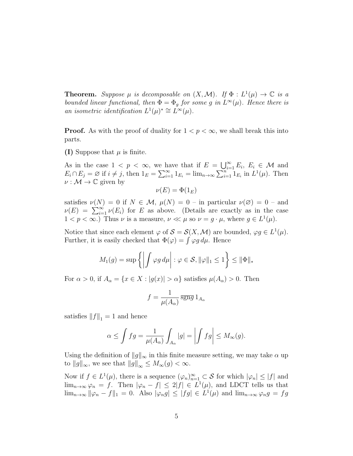**Theorem.** Suppose  $\mu$  is decomposable on  $(X, \mathcal{M})$ . If  $\Phi : L^1(\mu) \to \mathbb{C}$  is a bounded linear functional, then  $\Phi = \Phi_g$  for some g in  $L^{\infty}(\mu)$ . Hence there is an isometric identification  $L^1(\mu)^* \cong L^{\infty}(\mu)$ .

**Proof.** As with the proof of duality for  $1 < p < \infty$ , we shall break this into parts.

(I) Suppose that  $\mu$  is finite.

As in the case  $1 \leq p \leq \infty$ , we have that if  $E = \bigcup_{i=1}^{\infty} E_i, E_i \in \mathcal{M}$  and  $E_i \cap E_j = \emptyset$  if  $i \neq j$ , then  $1_E = \sum_{i=1}^{\infty} 1_{E_i} = \lim_{n \to \infty} \sum_{i=1}^{n} 1_{E_i}$  in  $L^1(\mu)$ . Then  $\nu: \mathcal{M} \to \mathbb{C}$  given by

$$
\nu(E) = \Phi(1_E)
$$

satisfies  $\nu(N) = 0$  if  $N \in \mathcal{M}$ ,  $\mu(N) = 0$  – in particular  $\nu(\emptyset) = 0$  – and  $\nu(E) = \sum_{i=1}^{\infty} \nu(E_i)$  for E as above. (Details are exactly as in the case  $1 < p < \infty$ .) Thus  $\nu$  is a measure,  $\nu \ll \mu$  so  $\nu = g \cdot \mu$ , where  $g \in L^1(\mu)$ .

Notice that since each element  $\varphi$  of  $\mathcal{S} = \mathcal{S}(X, \mathcal{M})$  are bounded,  $\varphi g \in L^1(\mu)$ . Further, it is easily checked that  $\Phi(\varphi) = \int \varphi g d\mu$ . Hence

$$
M_1(g) = \sup \left\{ \left| \int \varphi g \, d\mu \right| : \varphi \in \mathcal{S}, \|\varphi\|_1 \le 1 \right\} \le \|\Phi\|_*
$$

For  $\alpha > 0$ , if  $A_{\alpha} = \{x \in X : |g(x)| > \alpha\}$  satisfies  $\mu(A_{\alpha}) > 0$ . Then

$$
f = \frac{1}{\mu(A_{\alpha})} \overline{\text{sgng}} \, 1_{A_{\alpha}}
$$

satisfies  $||f||_1 = 1$  and hence

$$
\alpha \le \int fg = \frac{1}{\mu(A_{\alpha})} \int_{A_{\alpha}} |g| = \left| \int fg \right| \le M_{\infty}(g).
$$

Using the definition of  $||g||_{\infty}$  in this finite measure setting, we may take  $\alpha$  up to  $||g||_{\infty}$ , we see that  $||g||_{\infty} \leq M_{\infty}(g) < \infty$ .

Now if  $f \in L^1(\mu)$ , there is a sequence  $(\varphi_n)_{n=1}^{\infty} \subset S$  for which  $|\varphi_n| \leq |f|$  and  $\lim_{n\to\infty}\varphi_n = f$ . Then  $|\varphi_n - f| \leq 2|f| \in L^1(\mu)$ , and LDCT tells us that  $\lim_{n\to\infty} ||\varphi_n - f||_1 = 0.$  Also  $|\varphi_n g| \leq |fg| \in L^1(\mu)$  and  $\lim_{n\to\infty} \varphi_n g = fg$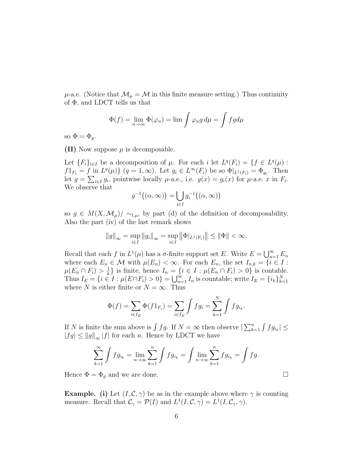$\mu$ -a.e. (Notice that  $\mathcal{M}_{\mu} = \mathcal{M}$  in this finite measure setting.) Thus continuity of Φ, and LDCT tells us that

$$
\Phi(f) = \lim_{n \to \infty} \Phi(\varphi_n) = \lim \int \varphi_n g \, d\mu = \int f g d\mu
$$

so  $\Phi = \Phi_q$ .

(II) Now suppose  $\mu$  is decomposable.

Let  ${F_i}_{i\in I}$  be a decomposition of  $\mu$ . For each i let  $L^q(F_i) = {f \in L^q(\mu)}$ :  $f1_{F_i} = f$  in  $L^q(\mu)$   $\{ (q = 1, \infty)$ . Let  $g_i \in L^{\infty}(F_i)$  be so  $\Phi|_{L^1(F_i)} = \Phi_{g_i}$ . Then let  $g = \sum_{i \in I} g_i$ , pointwise locally  $\mu$ -a.e., i.e.  $g(x) = g_i(x)$  for  $\mu$ -a.e. x in  $F_i$ . We observe that

$$
g^{-1}((\alpha,\infty)) = \bigcup_{i \in I} g_i^{-1}((\alpha,\infty))
$$

so  $g \in M(X, \mathcal{M}_{\mu})/\sim_{l,\mu}$ , by part (d) of the definition of decomposability. Also the part (iv) of the last remark shows

$$
||g||_{\infty} = \sup_{i \in I} ||g_i||_{\infty} = \sup_{i \in I} ||\Phi|_{L^1(F_i)} || \le ||\Phi|| < \infty.
$$

Recall that each f in  $L^1(\mu)$  has a  $\sigma$ -finite support set E. Write  $E = \bigcup_{n=1}^{\infty} E_n$ where each  $E_n \in \mathcal{M}$  with  $\mu(E_n) < \infty$ . For each  $E_n$ , the set  $I_{n,k} = \{i \in I :$  $\mu(E_n \cap F_i) > \frac{1}{k}$  $\frac{1}{k}$  is finite, hence  $I_n = \{i \in I : \mu(E_n \cap F_i) > 0\}$  is contable. Thus  $I_E = \{i \in I : \mu(E \cap F_i) > 0\} = \bigcup_{n=1}^{\infty} I_n$  is countable; write  $I_E = \{i_k\}_{k=1}^N$ where N is either finite or  $N = \infty$ . Thus

$$
\Phi(f) = \sum_{i \in I_E} \Phi(f 1_{F_i}) = \sum_{i \in I_E} \int f g_i = \sum_{k=1}^N \int f g_{i_k}.
$$

If N is finite the sum above is  $\int fg$ . If  $N = \infty$  then observe  $\left| \sum_{k=1}^n \int fg_{i_k} \right| \leq$  $|fg| \le ||g||_{\infty} |f|$  for each n. Hence by LDCT we have

$$
\sum_{k=1}^{\infty} \int f g_{i_k} = \lim_{n \to \infty} \sum_{k=1}^{n} \int f g_{i_k} = \int \lim_{n \to \infty} \sum_{k=1}^{n} f g_{i_k} = \int f g.
$$

Hence  $\Phi = \Phi_g$  and we are done.

**Example.** (i) Let  $(I, \mathcal{C}, \gamma)$  be as in the example above where  $\gamma$  is counting measure. Recall that  $\mathcal{C}_{\gamma} = \mathcal{P}(I)$  and  $L^1(I, \mathcal{C}, \gamma) = L^1(I, \mathcal{C}_{\gamma}, \gamma)$ .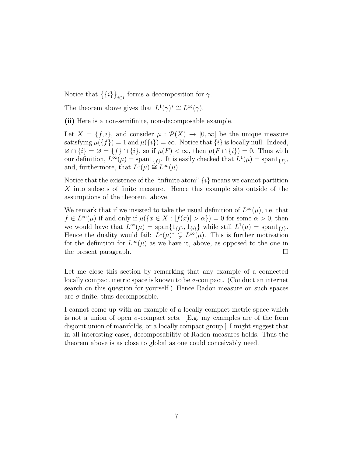Notice that  $\{\{i\}\}_{i\in I}$  forms a decomposition for  $\gamma$ .

The theorem above gives that  $L^1(\gamma)^* \cong L^{\infty}(\gamma)$ .

(ii) Here is a non-semifinite, non-decomposable example.

Let  $X = \{f, i\}$ , and consider  $\mu : \mathcal{P}(X) \to [0, \infty]$  be the unique measure satisfying  $\mu({f}) = 1$  and  $\mu({i}) = \infty$ . Notice that  ${i}$  is locally null. Indeed,  $\emptyset \cap \{i\} = \emptyset = \{f\} \cap \{i\}$ , so if  $\mu(F) < \infty$ , then  $\mu(F \cap \{i\}) = 0$ . Thus with our definition,  $L^{\infty}(\mu) = \text{span}1_{\{f\}}$ . It is easily checked that  $L^{1}(\mu) = \text{span}1_{\{f\}}$ , and, furthermore, that  $L^1(\mu) \stackrel{\omega}{\cong} L^{\infty}(\mu)$ .

Notice that the existence of the "infinite atom"  $\{i\}$  means we cannot partition X into subsets of finite measure. Hence this example sits outside of the assumptions of the theorem, above.

We remark that if we insisted to take the usual definition of  $L^{\infty}(\mu)$ , i.e. that  $f \in L^{\infty}(\mu)$  if and only if  $\mu({x \in X : |f(x)| > \alpha}) = 0$  for some  $\alpha > 0$ , then we would have that  $L^{\infty}(\mu) = \text{span}\{1_{\{f\}}, 1_{\{i\}}\}$  while still  $L^{1}(\mu) = \text{span}1_{\{f\}}$ . Hence the duality would fail:  $L^1(\mu)^* \subsetneq L^{\infty}(\mu)$ . This is further motivation for the definition for  $L^{\infty}(\mu)$  as we have it, above, as opposed to the one in the present paragraph.

Let me close this section by remarking that any example of a connected locally compact metric space is known to be  $\sigma$ -compact. (Conduct an internet search on this question for yourself.) Hence Radon measure on such spaces are  $\sigma$ -finite, thus decomposable.

I cannot come up with an example of a locally compact metric space which is not a union of open  $\sigma$ -compact sets. [E.g. my examples are of the form disjoint union of manifolds, or a locally compact group.] I might suggest that in all interesting cases, decomposability of Radon measures holds. Thus the theorem above is as close to global as one could conceivably need.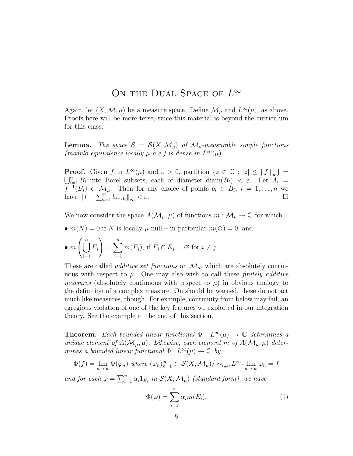## ON THE DUAL SPACE OF  $L^\infty$

Again, let  $(X, \mathcal{M}, \mu)$  be a measure space. Define  $\mathcal{M}_{\mu}$  and  $L^{\infty}(\mu)$ , as above. Proofs here will be more terse, since this material is beyond the curriculum for this class.

**Lemma.** The space  $S = S(X, \mathcal{M}_{\mu})$  of  $\mathcal{M}_{\mu}$ -measurable simple functions (modulo equivalence locally  $\mu$ -a.e.) is dense in  $L^{\infty}(\mu)$ .

**Proof.** Given f in  $L^{\infty}(\mu)$  and  $\varepsilon > 0$ , partition  $\{z \in \mathbb{C} : |z| \le ||f||_{\infty}\} =$ <br> $\bigcup_{i=1}^{n} B_i$  into Borel subsets, each of diameter diam( $B_i$ )  $\lt \varepsilon$ . Let  $A_i$  $\sum_{i=1}^{n} B_i$  into Borel subsets, each of diameter diam $(B_i) < \varepsilon$ . Let  $A_i =$  $f^{-1}(B_i) \in \mathcal{M}_{\mu}$ . Then for any choice of points  $b_i \in B_i$ ,  $i = 1, \ldots, n$  we have  $\|f - \sum_{i=1}^{n} b_i 1_{A_i}\|_{\infty} < \varepsilon$ .

We now consider the space  $A(\mathcal{M}_{\mu}, \mu)$  of functions  $m : \mathcal{M}_{\mu} \to \mathbb{C}$  for which

•  $m(N) = 0$  if N is locally  $\mu$ -null – in particular  $m(\emptyset) = 0$ ; and

• 
$$
m\left(\bigcup_{i=1}^{n} E_i\right) = \sum_{i=1}^{n} m(E_i)
$$
, if  $E_i \cap E_j = \emptyset$  for  $i \neq j$ .

These are called *additive set functions* on  $\mathcal{M}_{\mu}$ , which are absolutely continuous with respect to  $\mu$ . One may also wish to call these *finitely additive measures* (absolutely continuous with respect to  $\mu$ ) in obvious analogy to the definition of a complex measure. On should be warned, these do not act much like measures, though. For example, continuity from below may fail, an egregious violation of one of the key features we exploited in our integration theory. See the example at the end of this section.

**Theorem.** Each bounded linear functional  $\Phi: L^{\infty}(\mu) \to \mathbb{C}$  determines a unique element of  $A(\mathcal{M}_{\mu}, \mu)$ . Likewise, each element m of  $A(\mathcal{M}_{\mu}, \mu)$  determines a bounded linear functional  $\Phi: L^{\infty}(\mu) \to \mathbb{C}$  by

$$
\Phi(f) = \lim_{n \to \infty} \Phi(\varphi_n) \text{ where } (\varphi_n)_{n=1}^{\infty} \subset \mathcal{S}(X, \mathcal{M}_{\mu}) / \sim_{l,\mu} L^{\infty} \cdot \lim_{n \to \infty} \varphi_n = f
$$

and for each  $\varphi = \sum_{i=1}^n \alpha_i 1_{E_i}$  in  $\mathcal{S}(X, \mathcal{M}_\mu)$  (standard form), we have

$$
\Phi(\varphi) = \sum_{i=1}^{n} \alpha_i m(E_i). \tag{\dagger}
$$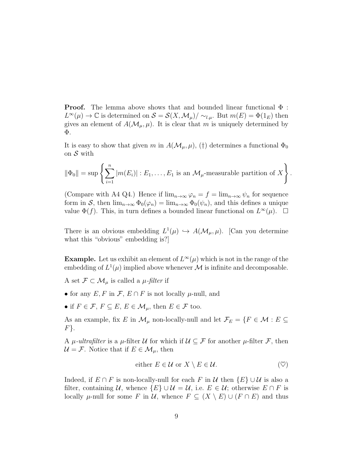**Proof.** The lemma above shows that and bounded linear functional  $\Phi$ :  $L^{\infty}(\mu) \to \mathbb{C}$  is determined on  $\mathcal{S} = \mathcal{S}(X, \mathcal{M}_{\mu}) / \sim_{l,\mu}$ . But  $m(E) = \Phi(1_E)$  then gives an element of  $A(\mathcal{M}_{\mu}, \mu)$ . It is clear that m is uniquely determined by Φ.

It is easy to show that given m in  $A(\mathcal{M}_{\mu}, \mu)$ , (†) determines a functional  $\Phi_0$ on S with

$$
\|\Phi_0\| = \sup \left\{ \sum_{i=1}^n |m(E_i)| : E_1, \dots, E_1 \text{ is an } \mathcal{M}_{\mu} \text{-measurable partition of } X \right\}
$$

.

(Compare with A4 Q4.) Hence if  $\lim_{n\to\infty}\varphi_n=f=\lim_{n\to\infty}\psi_n$  for sequence form in S, then  $\lim_{n\to\infty} \Phi_0(\varphi_n) = \lim_{n\to\infty} \Phi_0(\psi_n)$ , and this defines a unique value  $\Phi(f)$ . This, in turn defines a bounded linear functional on  $L^{\infty}(\mu)$ .  $\Box$ 

There is an obvious embedding  $L^1(\mu) \hookrightarrow A(\mathcal{M}_{\mu}, \mu)$ . [Can you determine what this "obvious" embedding is?

**Example.** Let us exhibit an element of  $L^{\infty}(\mu)$  which is not in the range of the embedding of  $L^1(\mu)$  implied above whenever M is infinite and decomposable.

A set  $\mathcal{F} \subset \mathcal{M}_{\mu}$  is called a  $\mu$ -filter if

- for any  $E, F$  in  $\mathcal{F}, E \cap F$  is not locally  $\mu$ -null, and
- if  $F \in \mathcal{F}$ ,  $F \subseteq E$ ,  $E \in \mathcal{M}_u$ , then  $E \in \mathcal{F}$  too.

As an example, fix E in  $\mathcal{M}_{\mu}$  non-locally-null and let  $\mathcal{F}_{E} = \{F \in \mathcal{M} : E \subseteq$  $F$ .

A  $\mu$ -ultrafilter is a  $\mu$ -filter U for which if  $\mathcal{U} \subseteq \mathcal{F}$  for another  $\mu$ -filter  $\mathcal{F}$ , then  $\mathcal{U} = \mathcal{F}$ . Notice that if  $E \in \mathcal{M}_{\mu}$ , then

either 
$$
E \in \mathcal{U}
$$
 or  $X \setminus E \in \mathcal{U}$ .  $(\heartsuit)$ 

Indeed, if  $E \cap F$  is non-locally-null for each F in U then  $\{E\} \cup U$  is also a filter, containing U, whence  $\{E\} \cup \mathcal{U} = \mathcal{U}$ , i.e.  $E \in \mathcal{U}$ ; otherwise  $E \cap F$  is locally  $\mu$ -null for some F in U, whence  $F \subseteq (X \setminus E) \cup (F \cap E)$  and thus